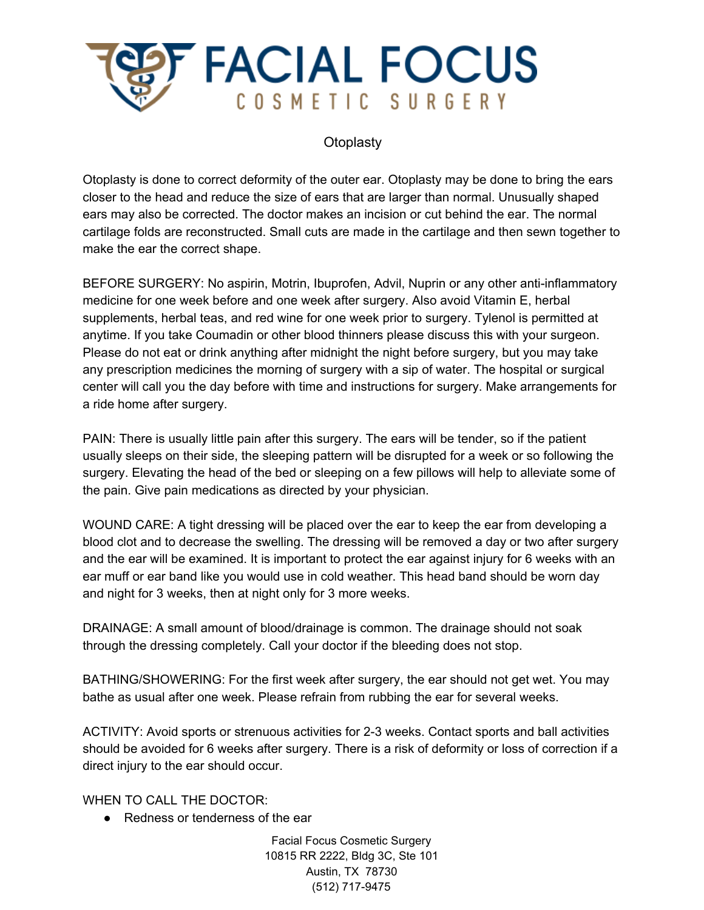

## **Otoplasty**

Otoplasty is done to correct deformity of the outer ear. Otoplasty may be done to bring the ears closer to the head and reduce the size of ears that are larger than normal. Unusually shaped ears may also be corrected. The doctor makes an incision or cut behind the ear. The normal cartilage folds are reconstructed. Small cuts are made in the cartilage and then sewn together to make the ear the correct shape.

BEFORE SURGERY: No aspirin, Motrin, Ibuprofen, Advil, Nuprin or any other anti-inflammatory medicine for one week before and one week after surgery. Also avoid Vitamin E, herbal supplements, herbal teas, and red wine for one week prior to surgery. Tylenol is permitted at anytime. If you take Coumadin or other blood thinners please discuss this with your surgeon. Please do not eat or drink anything after midnight the night before surgery, but you may take any prescription medicines the morning of surgery with a sip of water. The hospital or surgical center will call you the day before with time and instructions for surgery. Make arrangements for a ride home after surgery.

PAIN: There is usually little pain after this surgery. The ears will be tender, so if the patient usually sleeps on their side, the sleeping pattern will be disrupted for a week or so following the surgery. Elevating the head of the bed or sleeping on a few pillows will help to alleviate some of the pain. Give pain medications as directed by your physician.

WOUND CARE: A tight dressing will be placed over the ear to keep the ear from developing a blood clot and to decrease the swelling. The dressing will be removed a day or two after surgery and the ear will be examined. It is important to protect the ear against injury for 6 weeks with an ear muff or ear band like you would use in cold weather. This head band should be worn day and night for 3 weeks, then at night only for 3 more weeks.

DRAINAGE: A small amount of blood/drainage is common. The drainage should not soak through the dressing completely. Call your doctor if the bleeding does not stop.

BATHING/SHOWERING: For the first week after surgery, the ear should not get wet. You may bathe as usual after one week. Please refrain from rubbing the ear for several weeks.

ACTIVITY: Avoid sports or strenuous activities for 2-3 weeks. Contact sports and ball activities should be avoided for 6 weeks after surgery. There is a risk of deformity or loss of correction if a direct injury to the ear should occur.

WHEN TO CALL THE DOCTOR:

● Redness or tenderness of the ear

Facial Focus Cosmetic Surgery 10815 RR 2222, Bldg 3C, Ste 101 Austin, TX 78730 (512) 717-9475